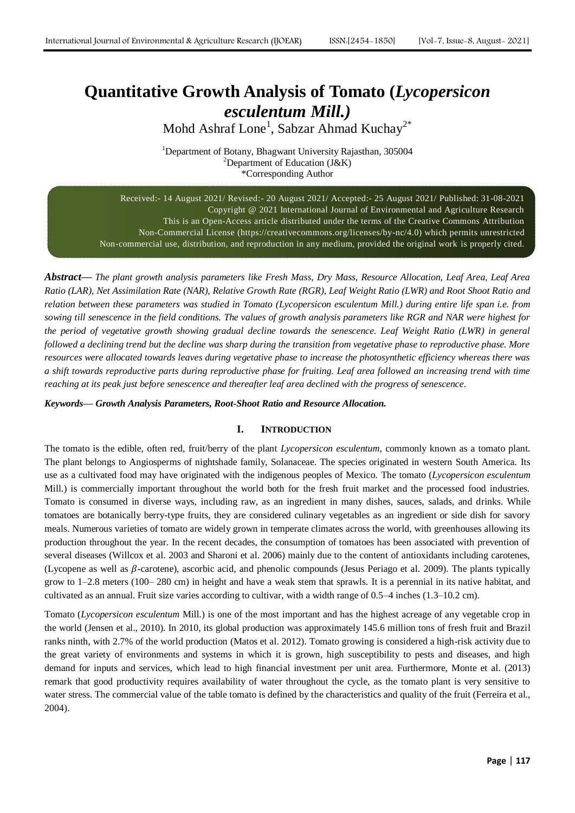# **Quantitative Growth Analysis of Tomato (***Lycopersicon esculentum Mill.)*

Mohd Ashraf Lone<sup>1</sup>, Sabzar Ahmad Kuchay<sup>2\*</sup>

<sup>1</sup>Department of Botany, Bhagwant University Rajasthan, 305004 <sup>2</sup>Department of Education (J&K) \*Corresponding Author

Received:- 14 August 2021/ Revised:- 20 August 2021/ Accepted:- 25 August 2021/ Published: 31-08-2021 Copyright @ 2021 International Journal of Environmental and Agriculture Research This is an Open-Access article distributed under the terms of the Creative Commons Attribution Non-Commercial License (https://creativecommons.org/licenses/by-nc/4.0) which permits unrestricted Non-commercial use, distribution, and reproduction in any medium, provided the original work is properly cited.

*Abstract***—** *The plant growth analysis parameters like Fresh Mass, Dry Mass, Resource Allocation, Leaf Area, Leaf Area Ratio (LAR), Net Assimilation Rate (NAR), Relative Growth Rate (RGR), Leaf Weight Ratio (LWR) and Root Shoot Ratio and relation between these parameters was studied in Tomato (Lycopersicon esculentum Mill.) during entire life span i.e. from sowing till senescence in the field conditions. The values of growth analysis parameters like RGR and NAR were highest for the period of vegetative growth showing gradual decline towards the senescence. Leaf Weight Ratio (LWR) in general followed a declining trend but the decline was sharp during the transition from vegetative phase to reproductive phase. More resources were allocated towards leaves during vegetative phase to increase the photosynthetic efficiency whereas there was a shift towards reproductive parts during reproductive phase for fruiting. Leaf area followed an increasing trend with time reaching at its peak just before senescence and thereafter leaf area declined with the progress of senescence.*

*Keywords— Growth Analysis Parameters, Root-Shoot Ratio and Resource Allocation.*

# **I. INTRODUCTION**

The tomato is the edible, often red, fruit/berry of the plant *Lycopersicon esculentum*, commonly known as a tomato plant. The plant belongs to Angiosperms of nightshade family, Solanaceae. The species originated in western South America. Its use as a cultivated food may have originated with the indigenous peoples of Mexico. The tomato (*Lycopersicon esculentum* Mill.) is commercially important throughout the world both for the fresh fruit market and the processed food industries. Tomato is consumed in diverse ways, including raw, as an ingredient in many dishes, sauces, salads, and drinks. While tomatoes are botanically berry-type fruits, they are considered culinary vegetables as an ingredient or side dish for savory meals. Numerous varieties of tomato are widely grown in temperate climates across the world, with greenhouses allowing its production throughout the year. In the recent decades, the consumption of tomatoes has been associated with prevention of several diseases (Willcox et al. 2003 and Sharoni et al. 2006) mainly due to the content of antioxidants including carotenes, (Lycopene as well as  $\beta$ -carotene), ascorbic acid, and phenolic compounds (Jesus Periago et al. 2009). The plants typically grow to 1–2.8 meters (100– 280 cm) in height and have a weak stem that sprawls. It is a perennial in its native habitat, and cultivated as an annual. Fruit size varies according to cultivar, with a width range of 0.5–4 inches (1.3–10.2 cm).

Tomato (*Lycopersicon esculentum* Mill.) is one of the most important and has the highest acreage of any vegetable crop in the world (Jensen et al., 2010). In 2010, its global production was approximately 145.6 million tons of fresh fruit and Brazil ranks ninth, with 2.7% of the world production (Matos et al. 2012). Tomato growing is considered a high-risk activity due to the great variety of environments and systems in which it is grown, high susceptibility to pests and diseases, and high demand for inputs and services, which lead to high financial investment per unit area. Furthermore, Monte et al. (2013) remark that good productivity requires availability of water throughout the cycle, as the tomato plant is very sensitive to water stress. The commercial value of the table tomato is defined by the characteristics and quality of the fruit (Ferreira et al., 2004).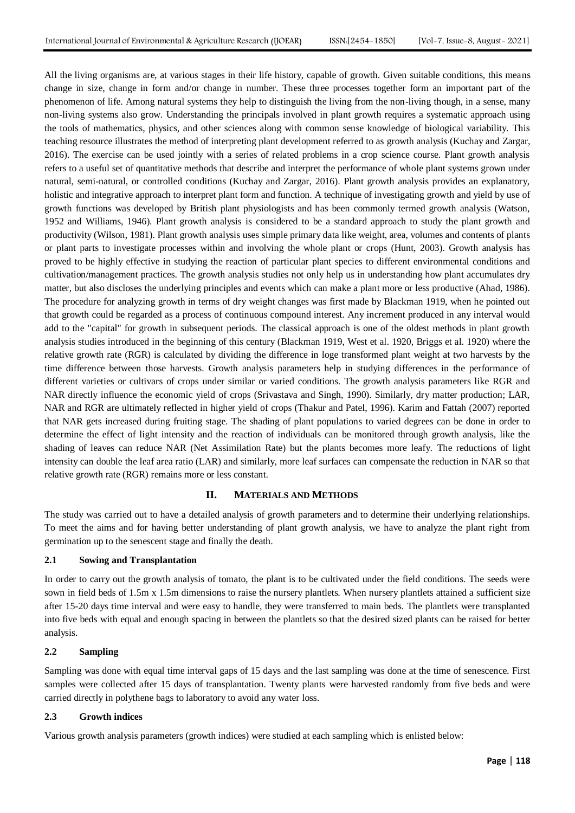All the living organisms are, at various stages in their life history, capable of growth. Given suitable conditions, this means change in size, change in form and/or change in number. These three processes together form an important part of the phenomenon of life. Among natural systems they help to distinguish the living from the non-living though, in a sense, many non-living systems also grow. Understanding the principals involved in plant growth requires a systematic approach using the tools of mathematics, physics, and other sciences along with common sense knowledge of biological variability. This teaching resource illustrates the method of interpreting plant development referred to as growth analysis (Kuchay and Zargar, 2016). The exercise can be used jointly with a series of related problems in a crop science course. Plant growth analysis refers to a useful set of quantitative methods that describe and interpret the performance of whole plant systems grown under natural, semi-natural, or controlled conditions (Kuchay and Zargar, 2016). Plant growth analysis provides an explanatory, holistic and integrative approach to interpret plant form and function. A technique of investigating growth and yield by use of growth functions was developed by British plant physiologists and has been commonly termed growth analysis (Watson, 1952 and Williams, 1946). Plant growth analysis is considered to be a standard approach to study the plant growth and productivity (Wilson, 1981). Plant growth analysis uses simple primary data like weight, area, volumes and contents of plants or plant parts to investigate processes within and involving the whole plant or crops (Hunt, 2003). Growth analysis has proved to be highly effective in studying the reaction of particular plant species to different environmental conditions and cultivation/management practices. The growth analysis studies not only help us in understanding how plant accumulates dry matter, but also discloses the underlying principles and events which can make a plant more or less productive (Ahad, 1986). The procedure for analyzing growth in terms of dry weight changes was first made by Blackman 1919, when he pointed out that growth could be regarded as a process of continuous compound interest. Any increment produced in any interval would add to the "capital" for growth in subsequent periods. The classical approach is one of the oldest methods in plant growth analysis studies introduced in the beginning of this century (Blackman 1919, West et al. 1920, Briggs et al. 1920) where the relative growth rate (RGR) is calculated by dividing the difference in loge transformed plant weight at two harvests by the time difference between those harvests. Growth analysis parameters help in studying differences in the performance of different varieties or cultivars of crops under similar or varied conditions. The growth analysis parameters like RGR and NAR directly influence the economic yield of crops (Srivastava and Singh, 1990). Similarly, dry matter production; LAR, NAR and RGR are ultimately reflected in higher yield of crops (Thakur and Patel, 1996). Karim and Fattah (2007) reported that NAR gets increased during fruiting stage. The shading of plant populations to varied degrees can be done in order to determine the effect of light intensity and the reaction of individuals can be monitored through growth analysis, like the shading of leaves can reduce NAR (Net Assimilation Rate) but the plants becomes more leafy. The reductions of light intensity can double the leaf area ratio (LAR) and similarly, more leaf surfaces can compensate the reduction in NAR so that relative growth rate (RGR) remains more or less constant.

# **II. MATERIALS AND METHODS**

The study was carried out to have a detailed analysis of growth parameters and to determine their underlying relationships. To meet the aims and for having better understanding of plant growth analysis, we have to analyze the plant right from germination up to the senescent stage and finally the death.

# **2.1 Sowing and Transplantation**

In order to carry out the growth analysis of tomato, the plant is to be cultivated under the field conditions. The seeds were sown in field beds of 1.5m x 1.5m dimensions to raise the nursery plantlets. When nursery plantlets attained a sufficient size after 15-20 days time interval and were easy to handle, they were transferred to main beds. The plantlets were transplanted into five beds with equal and enough spacing in between the plantlets so that the desired sized plants can be raised for better analysis.

#### **2.2 Sampling**

Sampling was done with equal time interval gaps of 15 days and the last sampling was done at the time of senescence. First samples were collected after 15 days of transplantation. Twenty plants were harvested randomly from five beds and were carried directly in polythene bags to laboratory to avoid any water loss.

# **2.3 Growth indices**

Various growth analysis parameters (growth indices) were studied at each sampling which is enlisted below: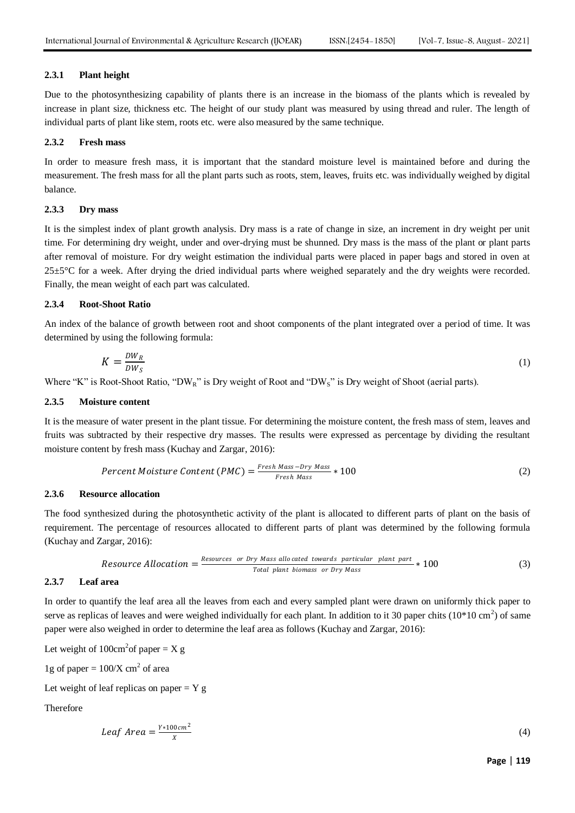## **2.3.1 Plant height**

Due to the photosynthesizing capability of plants there is an increase in the biomass of the plants which is revealed by increase in plant size, thickness etc. The height of our study plant was measured by using thread and ruler. The length of individual parts of plant like stem, roots etc. were also measured by the same technique.

# **2.3.2 Fresh mass**

In order to measure fresh mass, it is important that the standard moisture level is maintained before and during the measurement. The fresh mass for all the plant parts such as roots, stem, leaves, fruits etc. was individually weighed by digital balance.

## **2.3.3 Dry mass**

It is the simplest index of plant growth analysis. Dry mass is a rate of change in size, an increment in dry weight per unit time. For determining dry weight, under and over-drying must be shunned. Dry mass is the mass of the plant or plant parts after removal of moisture. For dry weight estimation the individual parts were placed in paper bags and stored in oven at  $25\pm5\degree$ C for a week. After drying the dried individual parts where weighed separately and the dry weights were recorded. Finally, the mean weight of each part was calculated.

# **2.3.4 Root-Shoot Ratio**

An index of the balance of growth between root and shoot components of the plant integrated over a period of time. It was determined by using the following formula:

$$
K = \frac{DW_R}{DW_S} \tag{1}
$$

Where "K" is Root-Shoot Ratio, "DW<sub>R</sub>" is Dry weight of Root and "DW<sub>S</sub>" is Dry weight of Shoot (aerial parts).

## **2.3.5 Moisture content**

It is the measure of water present in the plant tissue. For determining the moisture content, the fresh mass of stem, leaves and fruits was subtracted by their respective dry masses. The results were expressed as percentage by dividing the resultant moisture content by fresh mass (Kuchay and Zargar, 2016):

$$
Percent \text{ Moisture Content (PMC)} = \frac{Free \text{h Mass} - Dry \text{ Mass}}{Free \text{h Mass}} * 100 \tag{2}
$$

# **2.3.6 Resource allocation**

The food synthesized during the photosynthetic activity of the plant is allocated to different parts of plant on the basis of requirement. The percentage of resources allocated to different parts of plant was determined by the following formula (Kuchay and Zargar, 2016):

$$
Resource Allocation = \frac{Resources \ or \ Dry Mass \ also \ cated \ towards \ particular \ plant \ part}{Total \ plant \ biomass} \ or \ Dry Mass
$$
\n(3)

#### **2.3.7 Leaf area**

In order to quantify the leaf area all the leaves from each and every sampled plant were drawn on uniformly thick paper to serve as replicas of leaves and were weighed individually for each plant. In addition to it 30 paper chits  $(10*10 \text{ cm}^2)$  of same paper were also weighed in order to determine the leaf area as follows (Kuchay and Zargar, 2016):

Let weight of 
$$
100 \text{cm}^2
$$
 of paper = X g

1g of paper =  $100/X$  cm<sup>2</sup> of area

Let weight of leaf replicas on paper  $= Y g$ 

Therefore

$$
Leaf\ Area = \frac{Y \times 100\ cm^2}{X} \tag{4}
$$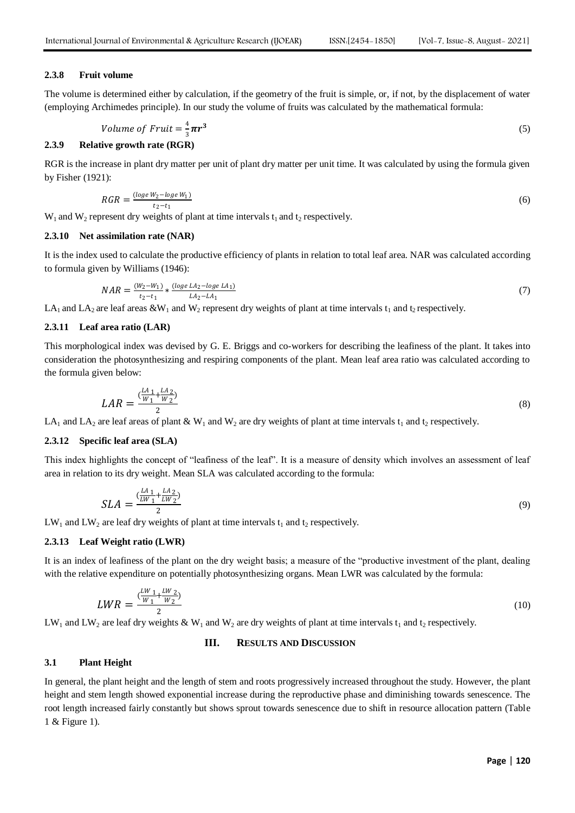## **2.3.8 Fruit volume**

The volume is determined either by calculation, if the geometry of the fruit is simple, or, if not, by the displacement of water (employing Archimedes principle). In our study the volume of fruits was calculated by the mathematical formula:

Volume of Fruit = 
$$
\frac{4}{3}\pi r^3
$$
 (5)

# **2.3.9 Relative growth rate (RGR)**

RGR is the increase in plant dry matter per unit of plant dry matter per unit time. It was calculated by using the formula given by Fisher (1921):

$$
RGR = \frac{(\log e W_2 - \log e W_1)}{t_2 - t_1} \tag{6}
$$

 $W_1$  and  $W_2$  represent dry weights of plant at time intervals  $t_1$  and  $t_2$  respectively.

# **2.3.10 Net assimilation rate (NAR)**

It is the index used to calculate the productive efficiency of plants in relation to total leaf area. NAR was calculated according to formula given by Williams (1946):

$$
NAR = \frac{(W_2 - W_1)}{t_2 - t_1} * \frac{(\log e \, LA_2 - \log e \, LA_1)}{LA_2 - LA_1} \tag{7}
$$

LA<sub>1</sub> and LA<sub>2</sub> are leaf areas &W<sub>1</sub> and W<sub>2</sub> represent dry weights of plant at time intervals t<sub>1</sub> and t<sub>2</sub> respectively.

#### **2.3.11 Leaf area ratio (LAR)**

This morphological index was devised by G. E. Briggs and co-workers for describing the leafiness of the plant. It takes into consideration the photosynthesizing and respiring components of the plant. Mean leaf area ratio was calculated according to the formula given below:

$$
LAR = \frac{\left(\frac{LA}{W_1} + \frac{LA}{W_2}\right)}{2} \tag{8}
$$

LA<sub>1</sub> and LA<sub>2</sub> are leaf areas of plant & W<sub>1</sub> and W<sub>2</sub> are dry weights of plant at time intervals t<sub>1</sub> and t<sub>2</sub> respectively.

# **2.3.12 Specific leaf area (SLA)**

This index highlights the concept of "leafiness of the leaf". It is a measure of density which involves an assessment of leaf area in relation to its dry weight. Mean SLA was calculated according to the formula:

$$
SLA = \frac{\binom{LA}{LW_1} + \frac{LA}{LW_2}}{2} \tag{9}
$$

 $LW_1$  and  $LW_2$  are leaf dry weights of plant at time intervals  $t_1$  and  $t_2$  respectively.

## **2.3.13 Leaf Weight ratio (LWR)**

It is an index of leafiness of the plant on the dry weight basis; a measure of the "productive investment of the plant, dealing with the relative expenditure on potentially photosynthesizing organs. Mean LWR was calculated by the formula:

$$
LWR = \frac{\left(\frac{LW}{W_1} + \frac{LW}{W_2}\right)}{2} \tag{10}
$$

LW<sub>1</sub> and LW<sub>2</sub> are leaf dry weights & W<sub>1</sub> and W<sub>2</sub> are dry weights of plant at time intervals t<sub>1</sub> and t<sub>2</sub> respectively.

# **III. RESULTS AND DISCUSSION**

#### **3.1 Plant Height**

In general, the plant height and the length of stem and roots progressively increased throughout the study. However, the plant height and stem length showed exponential increase during the reproductive phase and diminishing towards senescence. The root length increased fairly constantly but shows sprout towards senescence due to shift in resource allocation pattern (Table 1 & Figure 1).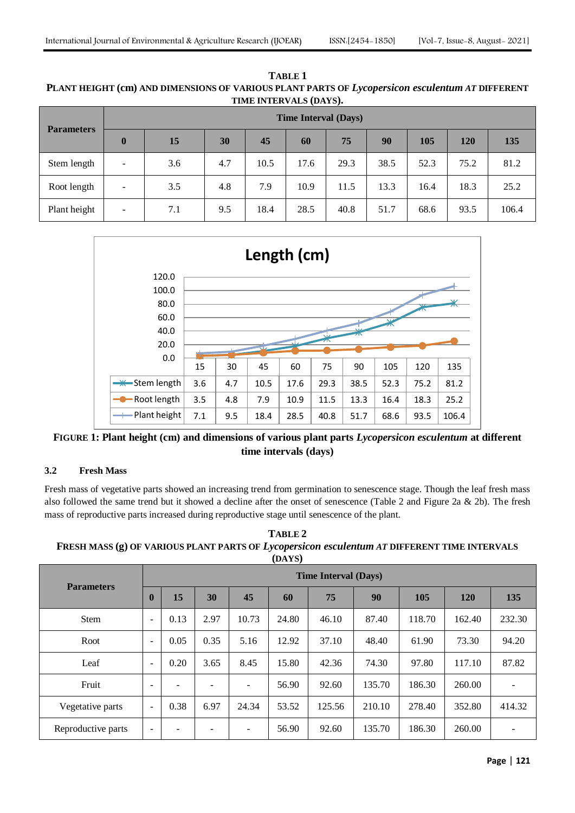|                   |                          | <b>Time Interval (Days)</b> |     |      |      |      |      |      |            |            |  |  |  |  |  |  |
|-------------------|--------------------------|-----------------------------|-----|------|------|------|------|------|------------|------------|--|--|--|--|--|--|
| <b>Parameters</b> | $\boldsymbol{0}$         | 15                          | 30  | 45   | 60   | 75   | 90   | 105  | <b>120</b> | <b>135</b> |  |  |  |  |  |  |
| Stem length       | $\overline{\phantom{0}}$ | 3.6                         | 4.7 | 10.5 | 17.6 | 29.3 | 38.5 | 52.3 | 75.2       | 81.2       |  |  |  |  |  |  |
| Root length       | $\overline{\phantom{a}}$ | 3.5                         | 4.8 | 7.9  | 10.9 | 11.5 | 13.3 | 16.4 | 18.3       | 25.2       |  |  |  |  |  |  |
| Plant height      | $\overline{\phantom{a}}$ | 7.1                         | 9.5 | 18.4 | 28.5 | 40.8 | 51.7 | 68.6 | 93.5       | 106.4      |  |  |  |  |  |  |

**TABLE 1 PLANT HEIGHT (cm) AND DIMENSIONS OF VARIOUS PLANT PARTS OF** *Lycopersicon esculentum AT* **DIFFERENT TIME INTERVALS (DAYS).**



**FIGURE 1: Plant height (cm) and dimensions of various plant parts** *Lycopersicon esculentum* **at different time intervals (days)**

# **3.2 Fresh Mass**

Fresh mass of vegetative parts showed an increasing trend from germination to senescence stage. Though the leaf fresh mass also followed the same trend but it showed a decline after the onset of senescence (Table 2 and Figure 2a  $\&$  2b). The fresh mass of reproductive parts increased during reproductive stage until senescence of the plant.

**TABLE 2 FRESH MASS (g) OF VARIOUS PLANT PARTS OF** *Lycopersicon esculentum AT* **DIFFERENT TIME INTERVALS (DAYS)**

|                    |                          | <b>Time Interval (Days)</b> |      |                          |       |        |        |        |            |        |  |  |  |  |  |
|--------------------|--------------------------|-----------------------------|------|--------------------------|-------|--------|--------|--------|------------|--------|--|--|--|--|--|
| <b>Parameters</b>  | $\mathbf{0}$             | 15                          | 30   | 45                       | 60    | 75     | 90     | 105    | <b>120</b> | 135    |  |  |  |  |  |
| <b>Stem</b>        | $\overline{\phantom{a}}$ | 0.13                        | 2.97 | 10.73                    | 24.80 | 46.10  | 87.40  | 118.70 | 162.40     | 232.30 |  |  |  |  |  |
| Root               | $\overline{\phantom{a}}$ | 0.05                        | 0.35 | 5.16                     | 12.92 | 37.10  | 48.40  | 61.90  | 73.30      | 94.20  |  |  |  |  |  |
| Leaf               | $\overline{\phantom{a}}$ | 0.20                        | 3.65 | 8.45                     | 15.80 | 42.36  | 74.30  | 97.80  | 117.10     | 87.82  |  |  |  |  |  |
| Fruit              | $\overline{\phantom{0}}$ |                             |      | ٠                        | 56.90 | 92.60  | 135.70 | 186.30 | 260.00     |        |  |  |  |  |  |
| Vegetative parts   | $\overline{\phantom{a}}$ | 0.38                        | 6.97 | 24.34                    | 53.52 | 125.56 | 210.10 | 278.40 | 352.80     | 414.32 |  |  |  |  |  |
| Reproductive parts | $\overline{\phantom{a}}$ |                             |      | $\overline{\phantom{a}}$ | 56.90 | 92.60  | 135.70 | 186.30 | 260.00     |        |  |  |  |  |  |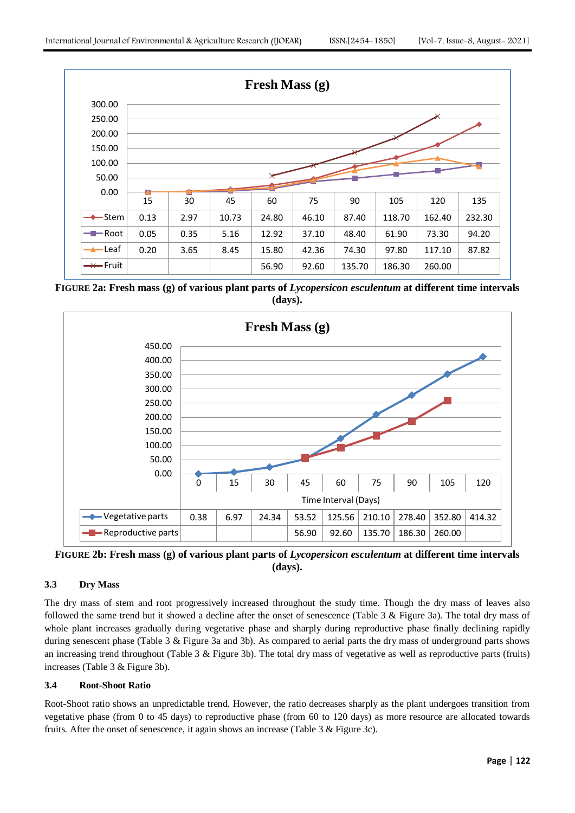

**FIGURE 2a: Fresh mass (g) of various plant parts of** *Lycopersicon esculentum* **at different time intervals (days).**



**FIGURE 2b: Fresh mass (g) of various plant parts of** *Lycopersicon esculentum* **at different time intervals (days).**

# **3.3 Dry Mass**

The dry mass of stem and root progressively increased throughout the study time. Though the dry mass of leaves also followed the same trend but it showed a decline after the onset of senescence (Table 3 & Figure 3a). The total dry mass of whole plant increases gradually during vegetative phase and sharply during reproductive phase finally declining rapidly during senescent phase (Table 3 & Figure 3a and 3b). As compared to aerial parts the dry mass of underground parts shows an increasing trend throughout (Table 3  $\&$  Figure 3b). The total dry mass of vegetative as well as reproductive parts (fruits) increases (Table 3 & Figure 3b).

# **3.4 Root-Shoot Ratio**

Root-Shoot ratio shows an unpredictable trend. However, the ratio decreases sharply as the plant undergoes transition from vegetative phase (from 0 to 45 days) to reproductive phase (from 60 to 120 days) as more resource are allocated towards fruits. After the onset of senescence, it again shows an increase (Table 3 & Figure 3c).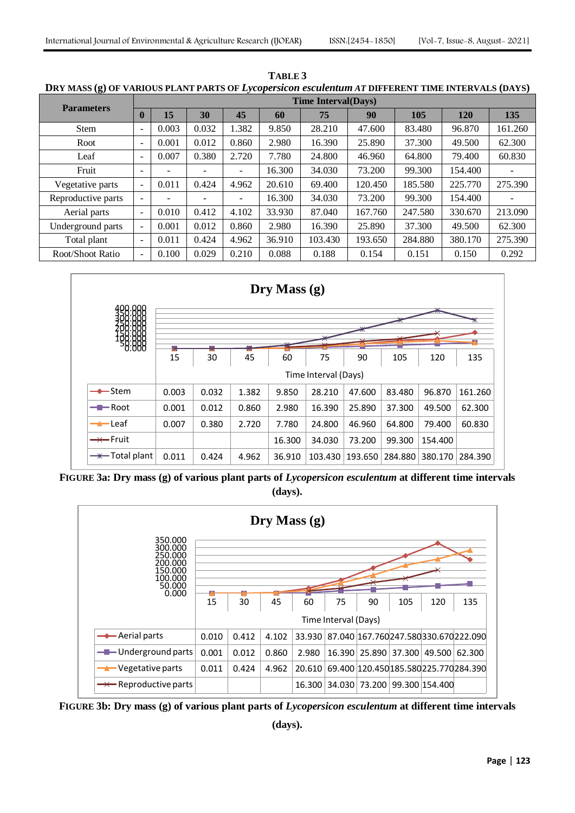| 15.                |                              |                             |       | - <i></i> . |        |         |         |         |            |         |  |  |  |  |
|--------------------|------------------------------|-----------------------------|-------|-------------|--------|---------|---------|---------|------------|---------|--|--|--|--|
| <b>Parameters</b>  |                              | <b>Time Interval</b> (Days) |       |             |        |         |         |         |            |         |  |  |  |  |
|                    | $\bf{0}$                     | 15                          | 30    | 45          | 60     | 75      | 90      | 105     | <b>120</b> | 135     |  |  |  |  |
| <b>Stem</b>        | $\qquad \qquad \blacksquare$ | 0.003                       | 0.032 | 1.382       | 9.850  | 28.210  | 47.600  | 83.480  | 96.870     | 161.260 |  |  |  |  |
| Root               | $\blacksquare$               | 0.001                       | 0.012 | 0.860       | 2.980  | 16.390  | 25.890  | 37.300  | 49.500     | 62.300  |  |  |  |  |
| Leaf               | $\qquad \qquad \blacksquare$ | 0.007                       | 0.380 | 2.720       | 7.780  | 24.800  | 46.960  | 64.800  | 79.400     | 60.830  |  |  |  |  |
| Fruit              | $\overline{\phantom{a}}$     |                             |       | ۰           | 16.300 | 34.030  | 73.200  | 99.300  | 154.400    |         |  |  |  |  |
| Vegetative parts   | $\overline{\phantom{a}}$     | 0.011                       | 0.424 | 4.962       | 20.610 | 69.400  | 120.450 | 185.580 | 225.770    | 275.390 |  |  |  |  |
| Reproductive parts | $\overline{\phantom{a}}$     |                             |       |             | 16.300 | 34.030  | 73.200  | 99.300  | 154.400    |         |  |  |  |  |
| Aerial parts       | $\overline{a}$               | 0.010                       | 0.412 | 4.102       | 33.930 | 87.040  | 167.760 | 247.580 | 330.670    | 213.090 |  |  |  |  |
| Underground parts  | $\overline{a}$               | 0.001                       | 0.012 | 0.860       | 2.980  | 16.390  | 25.890  | 37.300  | 49.500     | 62.300  |  |  |  |  |
| Total plant        | $\overline{a}$               | 0.011                       | 0.424 | 4.962       | 36.910 | 103.430 | 193.650 | 284.880 | 380.170    | 275.390 |  |  |  |  |
| Root/Shoot Ratio   | $\overline{a}$               | 0.100                       | 0.029 | 0.210       | 0.088  | 0.188   | 0.154   | 0.151   | 0.150      | 0.292   |  |  |  |  |

**TABLE 3 DRY MASS (g) OF VARIOUS PLANT PARTS OF** *Lycopersicon esculentum AT* **DIFFERENT TIME INTERVALS (DAYS)**



**FIGURE 3a: Dry mass (g) of various plant parts of** *Lycopersicon esculentum* **at different time intervals (days).**



**FIGURE 3b: Dry mass (g) of various plant parts of** *Lycopersicon esculentum* **at different time intervals** 

**(days).**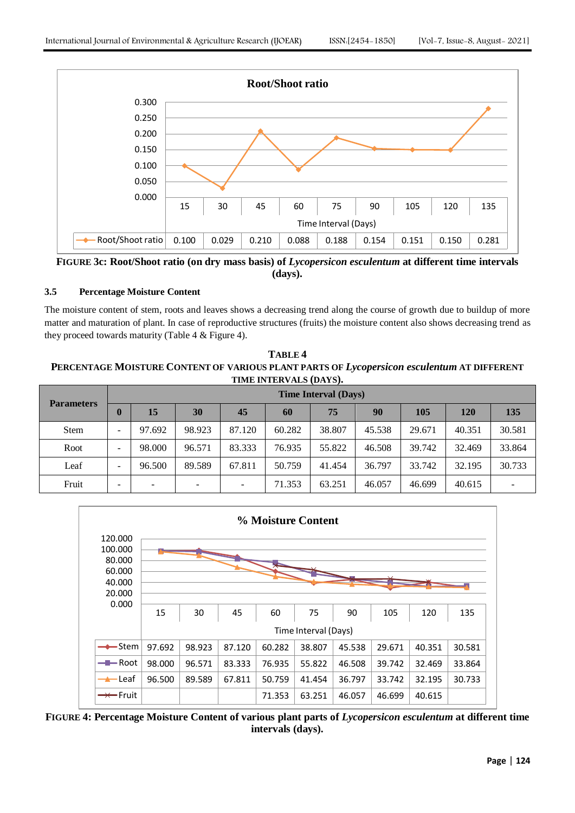

**FIGURE 3c: Root/Shoot ratio (on dry mass basis) of** *Lycopersicon esculentum* **at different time intervals (days).**

# **3.5 Percentage Moisture Content**

The moisture content of stem, roots and leaves shows a decreasing trend along the course of growth due to buildup of more matter and maturation of plant. In case of reproductive structures (fruits) the moisture content also shows decreasing trend as they proceed towards maturity (Table 4 & Figure 4).

**TABLE 4 PERCENTAGE MOISTURE CONTENT OF VARIOUS PLANT PARTS OF** *Lycopersicon esculentum* **AT DIFFERENT TIME INTERVALS (DAYS).**

| <b>Parameters</b> |                          | <b>Time Interval (Days)</b> |        |                          |        |        |        |        |            |        |  |  |  |  |  |
|-------------------|--------------------------|-----------------------------|--------|--------------------------|--------|--------|--------|--------|------------|--------|--|--|--|--|--|
|                   |                          | 15                          | 30     | 45                       | 60     | 75     | 90     | 105    | <b>120</b> | 135    |  |  |  |  |  |
| <b>Stem</b>       | ۰                        | 97.692                      | 98.923 | 87.120                   | 60.282 | 38.807 | 45.538 | 29.671 | 40.351     | 30.581 |  |  |  |  |  |
| Root              | $\overline{\phantom{0}}$ | 98.000                      | 96.571 | 83.333                   | 76.935 | 55.822 | 46.508 | 39.742 | 32.469     | 33.864 |  |  |  |  |  |
| Leaf              | ۰                        | 96.500                      | 89.589 | 67.811                   | 50.759 | 41.454 | 36.797 | 33.742 | 32.195     | 30.733 |  |  |  |  |  |
| Fruit             | $\overline{\phantom{0}}$ | $\overline{\phantom{0}}$    |        | $\overline{\phantom{a}}$ | 71.353 | 63.251 | 46.057 | 46.699 | 40.615     |        |  |  |  |  |  |



**FIGURE 4: Percentage Moisture Content of various plant parts of** *Lycopersicon esculentum* **at different time intervals (days).**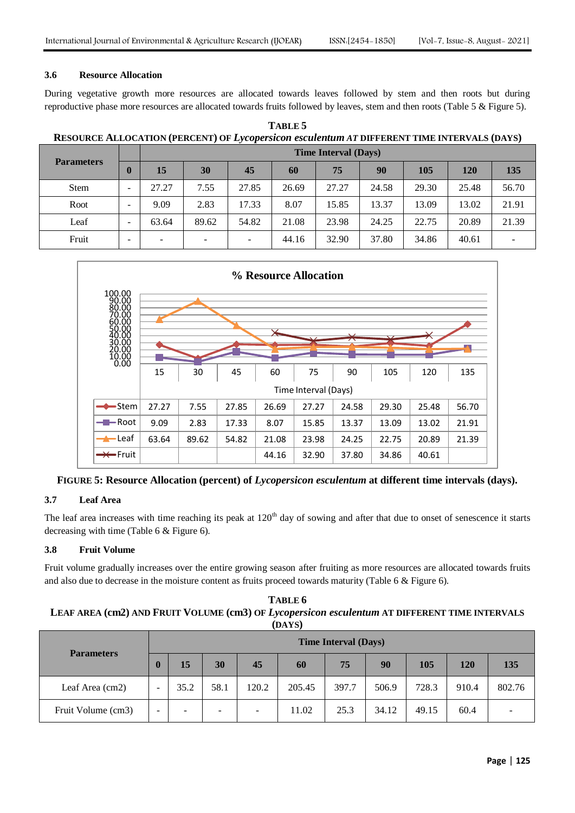#### **3.6 Resource Allocation**

During vegetative growth more resources are allocated towards leaves followed by stem and then roots but during reproductive phase more resources are allocated towards fruits followed by leaves, stem and then roots (Table 5 & Figure 5).

**TABLE 5 RESOURCE ALLOCATION (PERCENT) OF** *Lycopersicon esculentum AT* **DIFFERENT TIME INTERVALS (DAYS)**

|                   |                              |                          | <b>Time Interval (Days)</b> |                          |       |       |       |       |       |       |  |  |  |  |  |
|-------------------|------------------------------|--------------------------|-----------------------------|--------------------------|-------|-------|-------|-------|-------|-------|--|--|--|--|--|
| <b>Parameters</b> | O                            | 15                       | 30                          | 45                       | 60    | 75    | 90    | 105   | 120   | 135   |  |  |  |  |  |
| <b>Stem</b>       | $\qquad \qquad \blacksquare$ | 27.27                    | 7.55                        | 27.85                    | 26.69 | 27.27 | 24.58 | 29.30 | 25.48 | 56.70 |  |  |  |  |  |
| Root              | $\qquad \qquad \blacksquare$ | 9.09                     | 2.83                        | 17.33                    | 8.07  | 15.85 | 13.37 | 13.09 | 13.02 | 21.91 |  |  |  |  |  |
| Leaf              | $\qquad \qquad \blacksquare$ | 63.64                    | 89.62                       | 54.82                    | 21.08 | 23.98 | 24.25 | 22.75 | 20.89 | 21.39 |  |  |  |  |  |
| Fruit             | $\overline{\phantom{0}}$     | $\overline{\phantom{a}}$ | -                           | $\overline{\phantom{0}}$ | 44.16 | 32.90 | 37.80 | 34.86 | 40.61 |       |  |  |  |  |  |



**FIGURE 5: Resource Allocation (percent) of** *Lycopersicon esculentum* **at different time intervals (days).**

# **3.7 Leaf Area**

The leaf area increases with time reaching its peak at 120<sup>th</sup> day of sowing and after that due to onset of senescence it starts decreasing with time (Table 6 & Figure 6).

# **3.8 Fruit Volume**

Fruit volume gradually increases over the entire growing season after fruiting as more resources are allocated towards fruits and also due to decrease in the moisture content as fruits proceed towards maturity (Table 6 & Figure 6).

| TABLE 6                                                                                       |
|-----------------------------------------------------------------------------------------------|
| LEAF AREA (cm2) AND FRUIT VOLUME (cm3) OF Lycopersicon esculentum AT DIFFERENT TIME INTERVALS |
| (DAYS)                                                                                        |

|                    |                          | <b>Time Interval (Days)</b> |                          |                          |        |       |       |       |       |        |  |  |  |
|--------------------|--------------------------|-----------------------------|--------------------------|--------------------------|--------|-------|-------|-------|-------|--------|--|--|--|
| <b>Parameters</b>  | $\bf{0}$                 | 15                          | 30                       | 45                       | 60     | 75    | 90    | 105   | 120   | 135    |  |  |  |
| Leaf Area (cm2)    | $\overline{\phantom{0}}$ | 35.2                        | 58.1                     | 120.2                    | 205.45 | 397.7 | 506.9 | 728.3 | 910.4 | 802.76 |  |  |  |
| Fruit Volume (cm3) | $\overline{\phantom{0}}$ | -                           | $\overline{\phantom{0}}$ | $\overline{\phantom{a}}$ | 11.02  | 25.3  | 34.12 | 49.15 | 60.4  |        |  |  |  |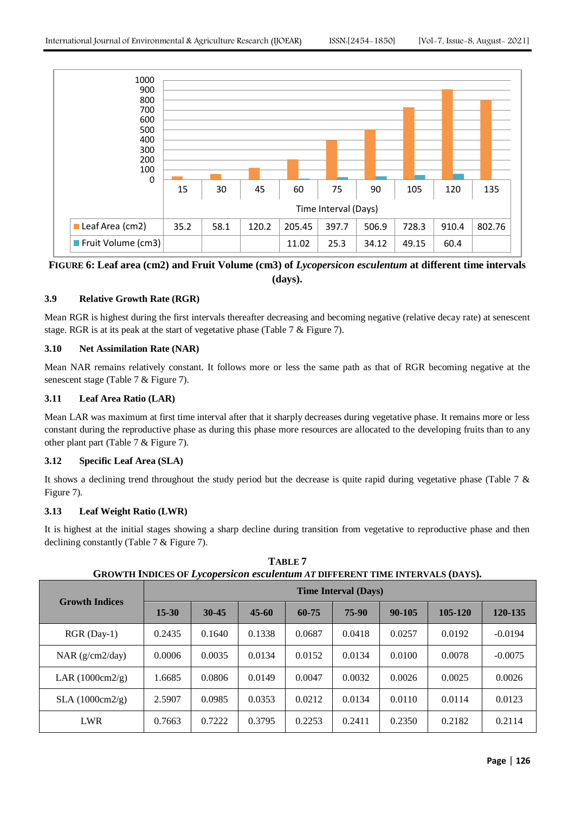

**FIGURE 6: Leaf area (cm2) and Fruit Volume (cm3) of** *Lycopersicon esculentum* **at different time intervals (days).**

# **3.9 Relative Growth Rate (RGR)**

Mean RGR is highest during the first intervals thereafter decreasing and becoming negative (relative decay rate) at senescent stage. RGR is at its peak at the start of vegetative phase (Table 7 & Figure 7).

# **3.10 Net Assimilation Rate (NAR)**

Mean NAR remains relatively constant. It follows more or less the same path as that of RGR becoming negative at the senescent stage (Table 7 & Figure 7).

# **3.11 Leaf Area Ratio (LAR)**

Mean LAR was maximum at first time interval after that it sharply decreases during vegetative phase. It remains more or less constant during the reproductive phase as during this phase more resources are allocated to the developing fruits than to any other plant part (Table 7 & Figure 7).

# **3.12 Specific Leaf Area (SLA)**

It shows a declining trend throughout the study period but the decrease is quite rapid during vegetative phase (Table 7 & Figure 7).

## **3.13 Leaf Weight Ratio (LWR)**

It is highest at the initial stages showing a sharp decline during transition from vegetative to reproductive phase and then declining constantly (Table 7 & Figure 7).

|                                   |           | <b>Time Interval (Days)</b> |           |        |        |            |         |           |  |  |  |  |  |
|-----------------------------------|-----------|-----------------------------|-----------|--------|--------|------------|---------|-----------|--|--|--|--|--|
| <b>Growth Indices</b>             | $15 - 30$ | $30 - 45$                   | $45 - 60$ | 60-75  | 75-90  | $90 - 105$ | 105-120 | 120-135   |  |  |  |  |  |
| $RGR(Day-1)$                      | 0.2435    | 0.1640                      | 0.1338    | 0.0687 | 0.0418 | 0.0257     | 0.0192  | $-0.0194$ |  |  |  |  |  |
| NAR $(g/cm2/day)$                 | 0.0006    | 0.0035                      | 0.0134    | 0.0152 | 0.0134 | 0.0100     | 0.0078  | $-0.0075$ |  |  |  |  |  |
| LAR $(1000 \text{cm} 2/\text{g})$ | 1.6685    | 0.0806                      | 0.0149    | 0.0047 | 0.0032 | 0.0026     | 0.0025  | 0.0026    |  |  |  |  |  |
| SLA(1000cm2/g)                    | 2.5907    | 0.0985                      | 0.0353    | 0.0212 | 0.0134 | 0.0110     | 0.0114  | 0.0123    |  |  |  |  |  |
| LWR                               | 0.7663    | 0.7222                      | 0.3795    | 0.2253 | 0.2411 | 0.2350     | 0.2182  | 0.2114    |  |  |  |  |  |

**TABLE 7 GROWTH INDICES OF** *Lycopersicon esculentum AT* **DIFFERENT TIME INTERVALS (DAYS).**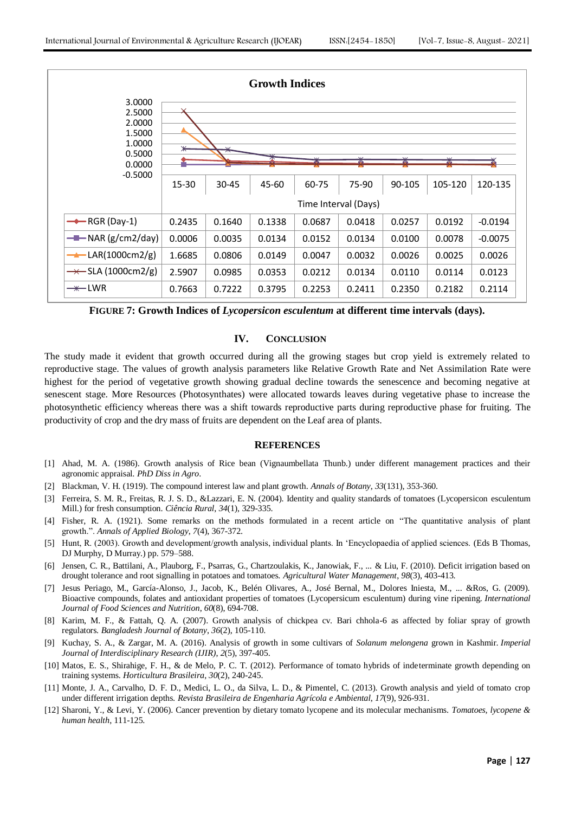

**FIGURE 7: Growth Indices of** *Lycopersicon esculentum* **at different time intervals (days).**

# **IV. CONCLUSION**

The study made it evident that growth occurred during all the growing stages but crop yield is extremely related to reproductive stage. The values of growth analysis parameters like Relative Growth Rate and Net Assimilation Rate were highest for the period of vegetative growth showing gradual decline towards the senescence and becoming negative at senescent stage. More Resources (Photosynthates) were allocated towards leaves during vegetative phase to increase the photosynthetic efficiency whereas there was a shift towards reproductive parts during reproductive phase for fruiting. The productivity of crop and the dry mass of fruits are dependent on the Leaf area of plants.

## **REFERENCES**

- [1] Ahad, M. A. (1986). Growth analysis of Rice bean (Vignaumbellata Thunb.) under different management practices and their agronomic appraisal. *PhD Diss in Agro*.
- [2] Blackman, V. H. (1919). The compound interest law and plant growth. *Annals of Botany*, *33*(131), 353-360.
- [3] Ferreira, S. M. R., Freitas, R. J. S. D., &Lazzari, E. N. (2004). Identity and quality standards of tomatoes (Lycopersicon esculentum Mill.) for fresh consumption. *Ciência Rural*, *34*(1), 329-335.
- [4] Fisher, R. A. (1921). Some remarks on the methods formulated in a recent article on "The quantitative analysis of plant growth.". *Annals of Applied Biology*, *7*(4), 367-372.
- [5] Hunt, R. (2003). Growth and development/growth analysis, individual plants. In "Encyclopaedia of applied sciences. (Eds B Thomas, DJ Murphy, D Murray.) pp. 579–588.
- [6] Jensen, C. R., Battilani, A., Plauborg, F., Psarras, G., Chartzoulakis, K., Janowiak, F., ... & Liu, F. (2010). Deficit irrigation based on drought tolerance and root signalling in potatoes and tomatoes. *Agricultural Water Management*, *98*(3), 403-413.
- [7] Jesus Periago, M., García-Alonso, J., Jacob, K., Belén Olivares, A., José Bernal, M., Dolores Iniesta, M., ... &Ros, G. (2009). Bioactive compounds, folates and antioxidant properties of tomatoes (Lycopersicum esculentum) during vine ripening. *International Journal of Food Sciences and Nutrition*, *60*(8), 694-708.
- [8] Karim, M. F., & Fattah, Q. A. (2007). Growth analysis of chickpea cv. Bari chhola-6 as affected by foliar spray of growth regulators. *Bangladesh Journal of Botany*, *36*(2), 105-110.
- [9] Kuchay, S. A., & Zargar, M. A. (2016). Analysis of growth in some cultivars of *Solanum melongena* grown in Kashmir. *Imperial Journal of Interdisciplinary Research (IJIR)*, *2*(5), 397-405.
- [10] Matos, E. S., Shirahige, F. H., & de Melo, P. C. T. (2012). Performance of tomato hybrids of indeterminate growth depending on training systems. *Horticultura Brasileira*, *30*(2), 240-245.
- [11] Monte, J. A., Carvalho, D. F. D., Medici, L. O., da Silva, L. D., & Pimentel, C. (2013). Growth analysis and yield of tomato crop under different irrigation depths. *Revista Brasileira de Engenharia Agrícola e Ambiental*, *17*(9), 926-931.
- [12] Sharoni, Y., & Levi, Y. (2006). Cancer prevention by dietary tomato lycopene and its molecular mechanisms. *Tomatoes, lycopene & human health*, 111-125.